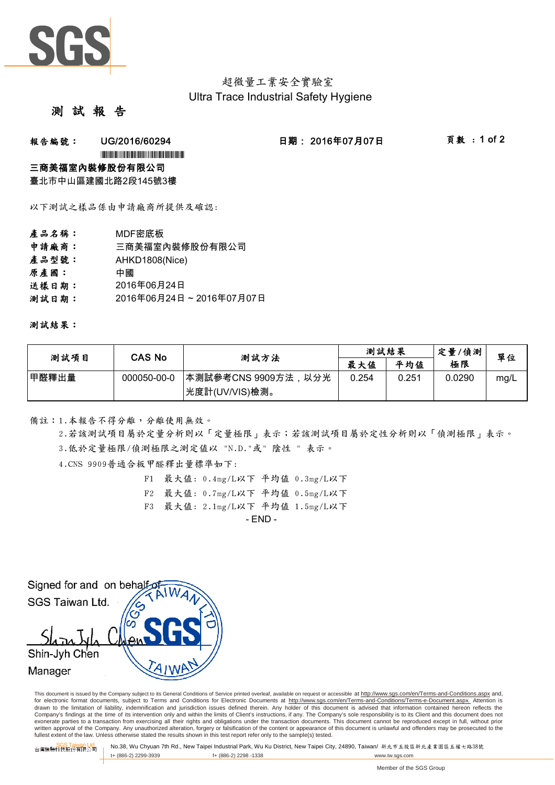

# 超微量工業安全實驗室 Ultra Trace Industrial Safety Hygiene

## 測 試 報

### **報告編號: UG/2016/60294 日期:2016年07月07日 頁數:1 of 2**

#### \*UG/2016/60294\*

#### 三商美福室內裝修股份有限公司

臺北市中山區建國北路2段145號3樓

以下測試之樣品係由申請廠商所提供及確認:

- 產品名稱: MDF密底板 申請廠商: 三商美福室內裝修股份有限公司 產品型號: AHKD1808(Nice)
- 原產國: 中國
- 送樣日期: 2016年06月24日
- 測試日期: 2016年06月24日 ~ 2016年07月07日

測試結果:

| 測試項目  | CAS No      | 测試方法                 | 測試結果  |       | 定量/偵測  | 單位   |
|-------|-------------|----------------------|-------|-------|--------|------|
|       |             |                      | 最大值   | 平均值   | 極限     |      |
| 甲醛釋出量 | 000050-00-0 | ┃本測試參考CNS 9909方法,以分光 | 0.254 | 0.251 | 0.0290 | mg/L |
|       |             | 光度計(UV/VIS)檢測。       |       |       |        |      |

#### 備註:1.本報告不得分離,分離使用無效。

3.低於定量極限/偵測極限之測定值以 "N.D."或" 陰性 " 表示。 2.若該測試項目屬於定量分析則以「定量極限」表示;若該測試項目屬於定性分析則以「偵測極限」表示。

4.CNS 9909普通合板甲醛釋出量標準如下:

- F1 最大值: 0.4mg/L以下 平均值 0.3mg/L以下
- F2 最大值: 0.7mg/L以下 平均值 0.5mg/L以下
- F3 最大值: 2.1mg/L以下 平均值 1.5mg/L以下

 $-$  FND  $-$ 



This document is issued by the Company subject to its General Conditions of Service printed overleaf, available on request or accessible at http://www.sgs.com/en/Terms-and-Conditions.aspx and, for electronic format documents, subject to Terms and Conditions for Electronic Documents at http://www.sgs.com/en/Terms-and-Conditions/Terms-e-Document.aspx. Attention is drawn to the limitation of liability, indemnification and jurisdiction issues defined therein. Any holder of this document is advised that information contained hereon reflects the<br>Company's findings at the time of its int exonerate parties to a transaction from exercising all their rights and obligations under the transaction documents. This document cannot be reproduced except in full, without prior written approval of the Company. Any unauthorized alteration, forgery or falsification of the content or appearance of this document is unlawful and offenders may be prosecuted to the<br>fullest extent of the law. Unless othe

SGS Taiwan Ltd. 台灣檢驗科技股份有限公司 No.38, Wu Chyuan 7th Rd., New Taipei Industrial Park, Wu Ku District, New Taipei City, 24890, Taiwan/ 新北市五股區新北產業園區五權七路38號 t+ (886-2) 2299-3939 f+ (886-2) 2298 -1338